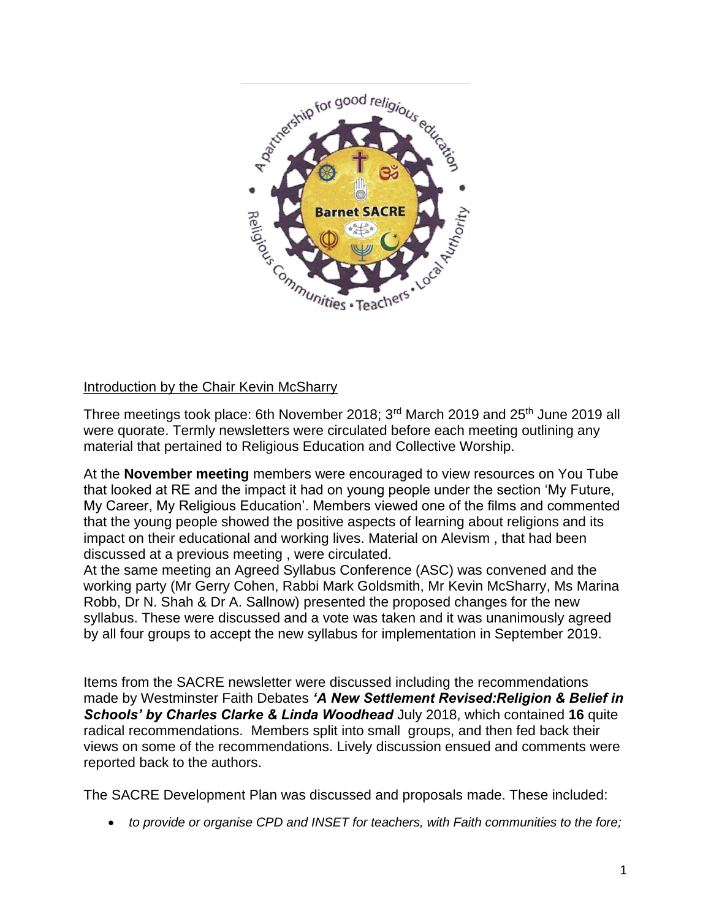

## Introduction by the Chair Kevin McSharry

Three meetings took place: 6th November 2018; 3<sup>rd</sup> March 2019 and 25<sup>th</sup> June 2019 all were quorate. Termly newsletters were circulated before each meeting outlining any material that pertained to Religious Education and Collective Worship.

At the **November meeting** members were encouraged to view resources on You Tube that looked at RE and the impact it had on young people under the section 'My Future, My Career, My Religious Education'. Members viewed one of the films and commented that the young people showed the positive aspects of learning about religions and its impact on their educational and working lives. Material on Alevism , that had been discussed at a previous meeting , were circulated.

At the same meeting an Agreed Syllabus Conference (ASC) was convened and the working party (Mr Gerry Cohen, Rabbi Mark Goldsmith, Mr Kevin McSharry, Ms Marina Robb, Dr N. Shah & Dr A. Sallnow) presented the proposed changes for the new syllabus. These were discussed and a vote was taken and it was unanimously agreed by all four groups to accept the new syllabus for implementation in September 2019.

Items from the SACRE newsletter were discussed including the recommendations made by Westminster Faith Debates *'A New Settlement Revised:Religion & Belief in Schools' by Charles Clarke & Linda Woodhead* July 2018, which contained **16** quite radical recommendations. Members split into small groups, and then fed back their views on some of the recommendations. Lively discussion ensued and comments were reported back to the authors.

The SACRE Development Plan was discussed and proposals made. These included:

• *to provide or organise CPD and INSET for teachers, with Faith communities to the fore;*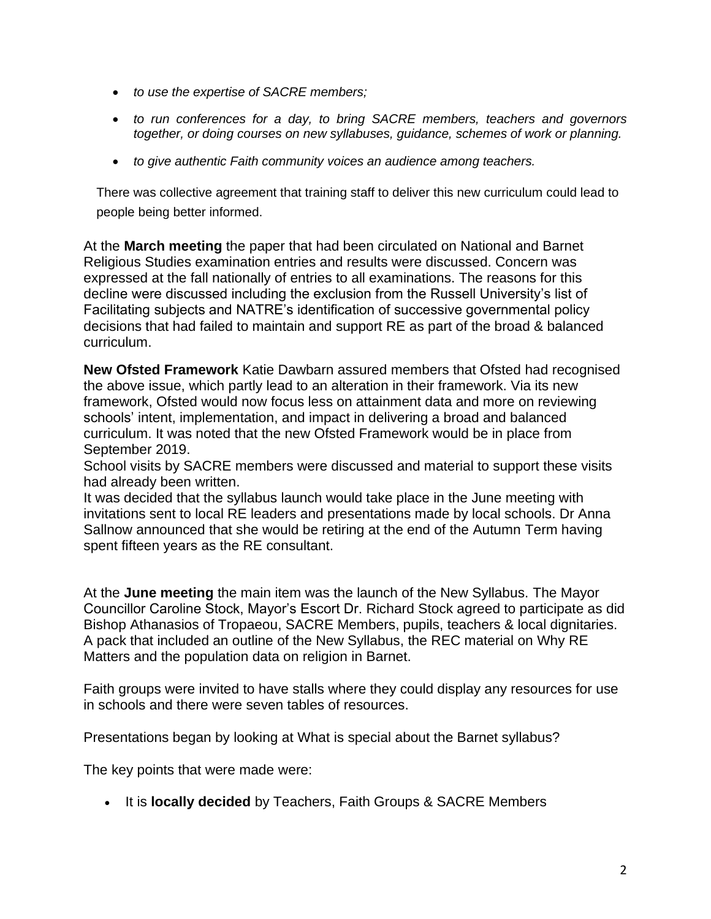- *to use the expertise of SACRE members;*
- *to run conferences for a day, to bring SACRE members, teachers and governors together, or doing courses on new syllabuses, guidance, schemes of work or planning.*
- *to give authentic Faith community voices an audience among teachers.*

There was collective agreement that training staff to deliver this new curriculum could lead to people being better informed.

At the **March meeting** the paper that had been circulated on National and Barnet Religious Studies examination entries and results were discussed. Concern was expressed at the fall nationally of entries to all examinations. The reasons for this decline were discussed including the exclusion from the Russell University's list of Facilitating subjects and NATRE's identification of successive governmental policy decisions that had failed to maintain and support RE as part of the broad & balanced curriculum.

**New Ofsted Framework** Katie Dawbarn assured members that Ofsted had recognised the above issue, which partly lead to an alteration in their framework. Via its new framework, Ofsted would now focus less on attainment data and more on reviewing schools' intent, implementation, and impact in delivering a broad and balanced curriculum. It was noted that the new Ofsted Framework would be in place from September 2019.

School visits by SACRE members were discussed and material to support these visits had already been written.

It was decided that the syllabus launch would take place in the June meeting with invitations sent to local RE leaders and presentations made by local schools. Dr Anna Sallnow announced that she would be retiring at the end of the Autumn Term having spent fifteen years as the RE consultant.

At the **June meeting** the main item was the launch of the New Syllabus. The Mayor Councillor Caroline Stock, Mayor's Escort Dr. Richard Stock agreed to participate as did Bishop Athanasios of Tropaeou, SACRE Members, pupils, teachers & local dignitaries. A pack that included an outline of the New Syllabus, the REC material on Why RE Matters and the population data on religion in Barnet.

Faith groups were invited to have stalls where they could display any resources for use in schools and there were seven tables of resources.

Presentations began by looking at What is special about the Barnet syllabus?

The key points that were made were:

• It is **locally decided** by Teachers, Faith Groups & SACRE Members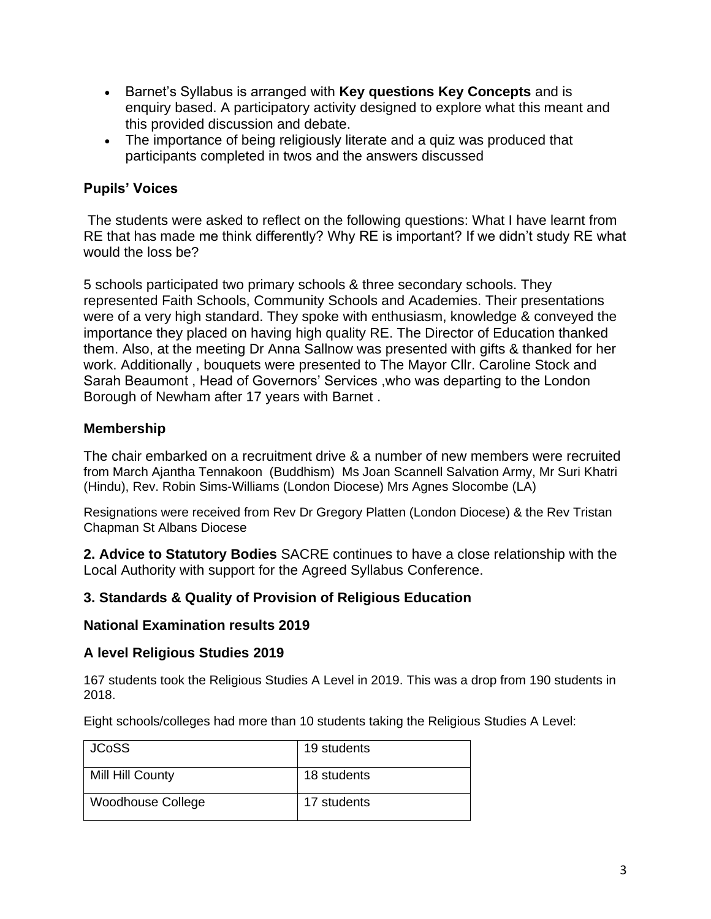- Barnet's Syllabus is arranged with **Key questions Key Concepts** and is enquiry based. A participatory activity designed to explore what this meant and this provided discussion and debate.
- The importance of being religiously literate and a quiz was produced that participants completed in twos and the answers discussed

# **Pupils' Voices**

The students were asked to reflect on the following questions: What I have learnt from RE that has made me think differently? Why RE is important? If we didn't study RE what would the loss be?

5 schools participated two primary schools & three secondary schools. They represented Faith Schools, Community Schools and Academies. Their presentations were of a very high standard. They spoke with enthusiasm, knowledge & conveyed the importance they placed on having high quality RE. The Director of Education thanked them. Also, at the meeting Dr Anna Sallnow was presented with gifts & thanked for her work. Additionally , bouquets were presented to The Mayor Cllr. Caroline Stock and Sarah Beaumont , Head of Governors' Services ,who was departing to the London Borough of Newham after 17 years with Barnet .

### **Membership**

The chair embarked on a recruitment drive & a number of new members were recruited from March Ajantha Tennakoon (Buddhism) Ms Joan Scannell Salvation Army, Mr Suri Khatri (Hindu), Rev. Robin Sims-Williams (London Diocese) Mrs Agnes Slocombe (LA)

Resignations were received from Rev Dr Gregory Platten (London Diocese) & the Rev Tristan Chapman St Albans Diocese

**2. Advice to Statutory Bodies** SACRE continues to have a close relationship with the Local Authority with support for the Agreed Syllabus Conference.

#### **3. Standards & Quality of Provision of Religious Education**

#### **National Examination results 2019**

#### **A level Religious Studies 2019**

167 students took the Religious Studies A Level in 2019. This was a drop from 190 students in 2018.

Eight schools/colleges had more than 10 students taking the Religious Studies A Level:

| <b>JCoSS</b>             | 19 students |
|--------------------------|-------------|
| Mill Hill County         | 18 students |
| <b>Woodhouse College</b> | 17 students |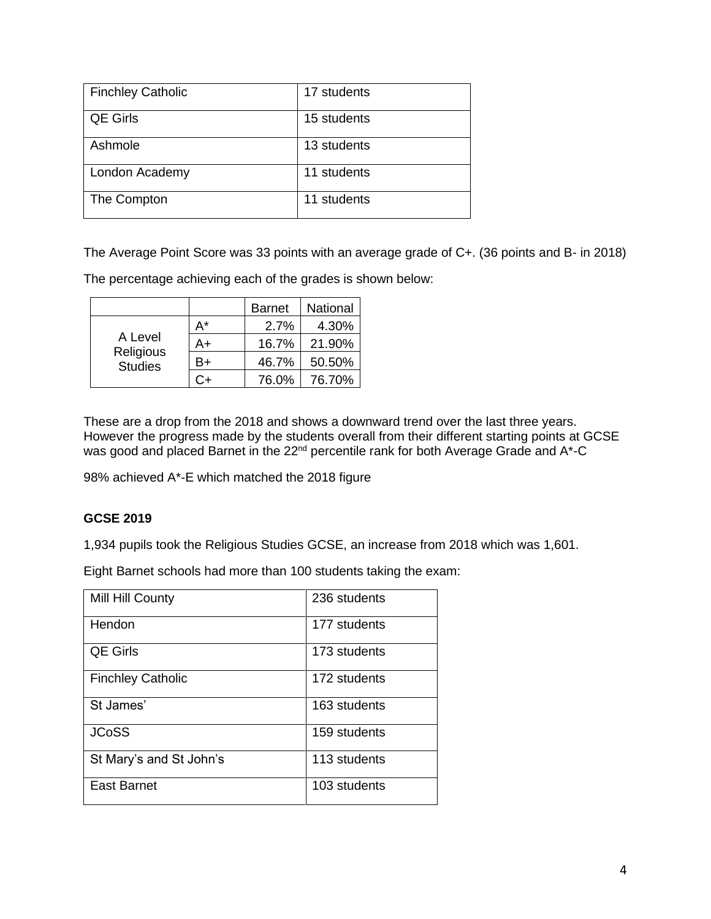| <b>Finchley Catholic</b> | 17 students |
|--------------------------|-------------|
| <b>QE Girls</b>          | 15 students |
| Ashmole                  | 13 students |
| London Academy           | 11 students |
| The Compton              | 11 students |

The Average Point Score was 33 points with an average grade of C+. (36 points and B- in 2018)

The percentage achieving each of the grades is shown below:

|                                        |    | <b>Barnet</b> | National |
|----------------------------------------|----|---------------|----------|
| A Level<br>Religious<br><b>Studies</b> | A* | 2.7%          | 4.30%    |
|                                        | A+ | 16.7%         | 21.90%   |
|                                        | B+ | 46.7%         | 50.50%   |
|                                        |    | 76.0%         | 76.70%   |

These are a drop from the 2018 and shows a downward trend over the last three years. However the progress made by the students overall from their different starting points at GCSE was good and placed Barnet in the 22<sup>nd</sup> percentile rank for both Average Grade and A<sup>\*</sup>-C

98% achieved A\*-E which matched the 2018 figure

#### **GCSE 2019**

1,934 pupils took the Religious Studies GCSE, an increase from 2018 which was 1,601.

Eight Barnet schools had more than 100 students taking the exam:

| Mill Hill County         | 236 students |
|--------------------------|--------------|
| Hendon                   | 177 students |
| QE Girls                 | 173 students |
| <b>Finchley Catholic</b> | 172 students |
| St James'                | 163 students |
| <b>JCoSS</b>             | 159 students |
| St Mary's and St John's  | 113 students |
| <b>East Barnet</b>       | 103 students |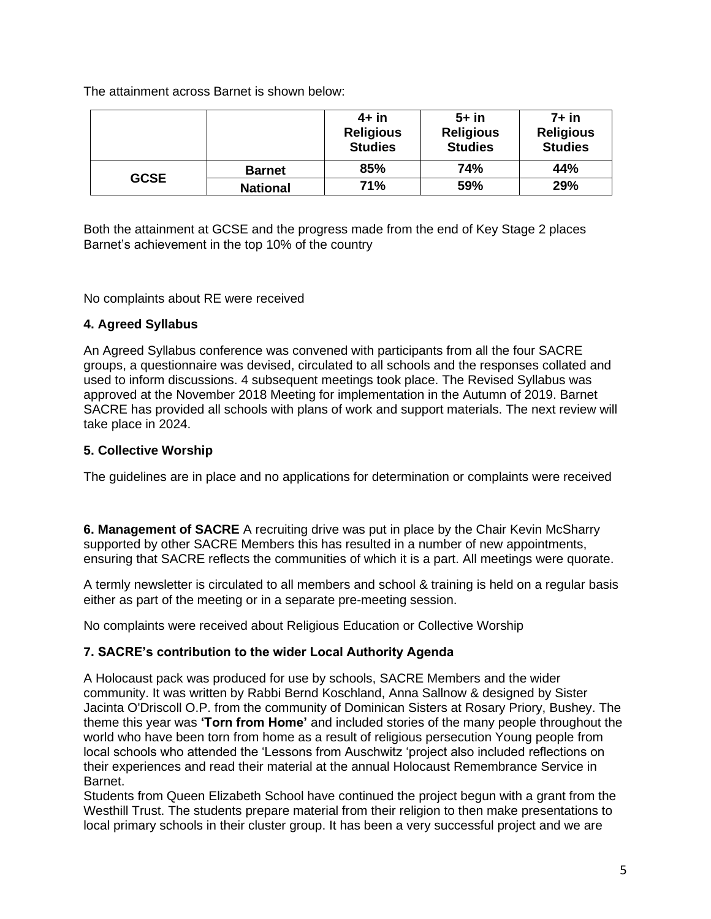The attainment across Barnet is shown below:

|             |                 | $4+$ in<br><b>Religious</b><br><b>Studies</b> | $5+$ in<br><b>Religious</b><br><b>Studies</b> | 7+ in<br><b>Religious</b><br><b>Studies</b> |
|-------------|-----------------|-----------------------------------------------|-----------------------------------------------|---------------------------------------------|
| <b>GCSE</b> | <b>Barnet</b>   | 85%                                           | 74%                                           | 44%                                         |
|             | <b>National</b> | 71%                                           | 59%                                           | 29%                                         |

Both the attainment at GCSE and the progress made from the end of Key Stage 2 places Barnet's achievement in the top 10% of the country

No complaints about RE were received

#### **4. Agreed Syllabus**

An Agreed Syllabus conference was convened with participants from all the four SACRE groups, a questionnaire was devised, circulated to all schools and the responses collated and used to inform discussions. 4 subsequent meetings took place. The Revised Syllabus was approved at the November 2018 Meeting for implementation in the Autumn of 2019. Barnet SACRE has provided all schools with plans of work and support materials. The next review will take place in 2024.

#### **5. Collective Worship**

The guidelines are in place and no applications for determination or complaints were received

**6. Management of SACRE** A recruiting drive was put in place by the Chair Kevin McSharry supported by other SACRE Members this has resulted in a number of new appointments, ensuring that SACRE reflects the communities of which it is a part. All meetings were quorate.

A termly newsletter is circulated to all members and school & training is held on a regular basis either as part of the meeting or in a separate pre-meeting session.

No complaints were received about Religious Education or Collective Worship

#### **7. SACRE's contribution to the wider Local Authority Agenda**

A Holocaust pack was produced for use by schools, SACRE Members and the wider community. It was written by Rabbi Bernd Koschland, Anna Sallnow & designed by Sister Jacinta O'Driscoll O.P. from the community of Dominican Sisters at Rosary Priory, Bushey. The theme this year was **'Torn from Home'** and included stories of the many people throughout the world who have been torn from home as a result of religious persecution Young people from local schools who attended the 'Lessons from Auschwitz 'project also included reflections on their experiences and read their material at the annual Holocaust Remembrance Service in Barnet.

Students from Queen Elizabeth School have continued the project begun with a grant from the Westhill Trust. The students prepare material from their religion to then make presentations to local primary schools in their cluster group. It has been a very successful project and we are